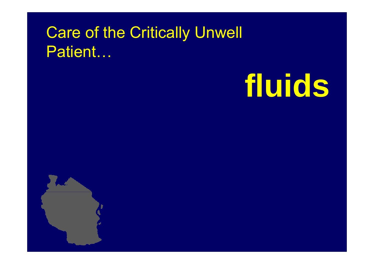#### Care of the Critically Unwell Patient…

# **fluids**

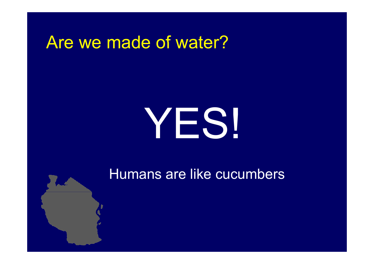#### Are we made of water?

# YES!

Humans are like cucumbers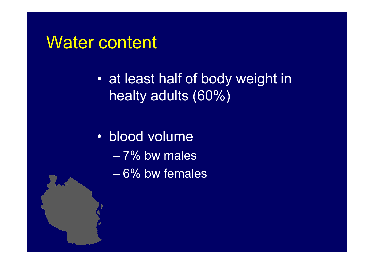#### Water content

• at least half of body weight in healty adults (60%)

• blood volume

- 7% bw males
- 6% bw females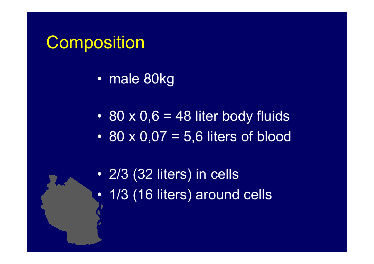#### **Composition**

• male 80kg

 $\bullet$  80 x 0,6 = 48 liter body fluids • 80 x 0,07 = 5,6 liters of blood

• 2/3 (32 liters) in cells •• 1/3 (16 liters) around cells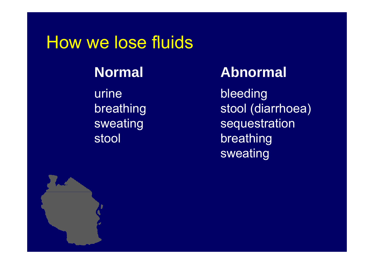#### How we lose fluids

urinebreathing sweating

#### **Normal Abnormal**

 bleeding stool (diarrhoea) **sequestration** stool breathing sweating

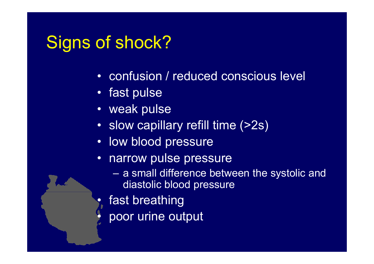#### Signs of shock?

•

•

- confusion / reduced conscious level
- fast pulse
- weak pulse
- slow capillary refill time (>2s)
- low blood pressure
- • narrow pulse pressure
	- a small difference between the systolic and diastolic blood pressure
	- fast breathing
	- poor urine output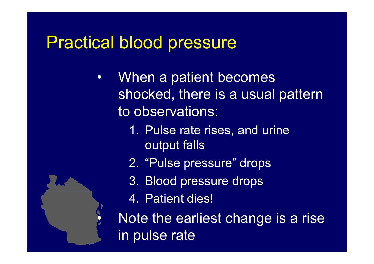#### Practical blood pressure

- •• When a patient becomes shocked, there is a usual pattern to observations:
	- 1. Pulse rate rises, and urine output falls
	- 2. "Pulse pressure" drops
	- 3. Blood pressure drops
	- 4. Patient dies!

 $\bullet$ 

**Note the earliest change is a rise** in pulse rate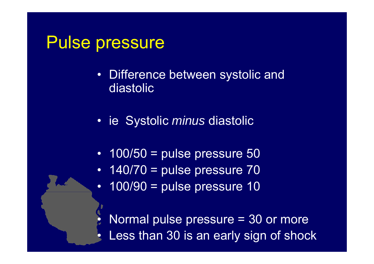#### Pulse pressure

 $\bullet$ 

 $\bullet$ 

- Difference between systolic and diastolic
- ie Systolic *minus* diastolic
- 100/50 = pulse pressure 50
- $\bullet$  $140/70$  = pulse pressure  $70$
- $\bullet$ 100/90 = pulse pressure 10

 $\bullet\,$  Normal pulse pressure = 30 or more Less than 30 is an early sign of shock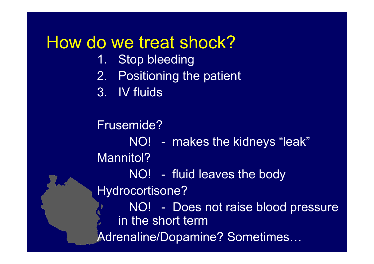#### How do we treat shock?

- 1. Stop bleeding
- 2. Positioning the patient
- 3. IV fluids

Frusemide?NO! - makes the kidneys "leak" Mannitol? NO! - fluid leaves the body Hydrocortisone? NO! - Does not raise blood pressure in the short term Adrenaline/Dopamine? Sometimes…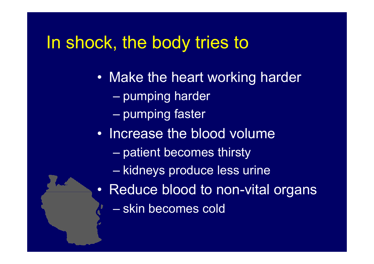#### In shock, the body tries to

- Make the heart working harder
	- pumping harder
	- pumping faster
- Increase the blood volume
	- patient becomes thirsty
	- kidneys produce less urine
- Reduce blood to non-vital organs
	- skin becomes cold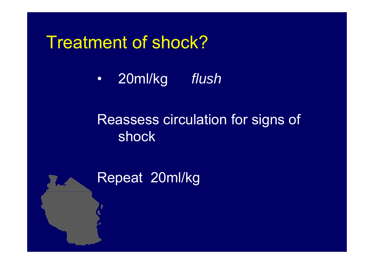#### Treatment of shock?

•20ml/kg *flush*

#### Reassess circulation for signs of shock

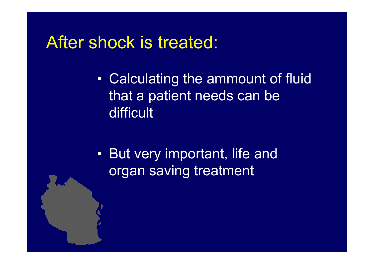#### After shock is treated:

- • Calculating the ammount of fluid that a patient needs can be difficult
- • But very important, life and organ saving treatment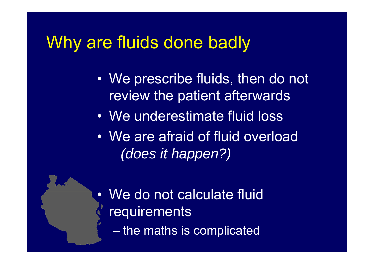#### Why are fluids done badly

- • We prescribe fluids, then do not review the patient afterwards
- We underestimate fluid loss
- We are afraid of fluid overload *(does it happen?)*
- •• We do not calculate fluid requirements the maths is complicated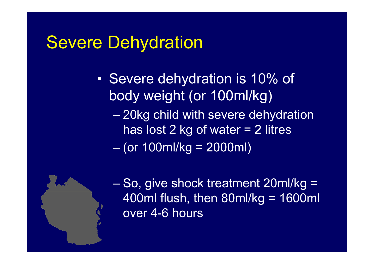#### Severe Dehydration

- • Severe dehydration is 10% of body weight (or 100ml/kg)
	- $\mathcal{L}_{\mathcal{A}}$  , where  $\mathcal{L}_{\mathcal{A}}$  is the set of the set of the set of the set of the set of the set of the set of the set of the set of the set of the set of the set of the set of the set of the set of the set of the 20kg child with severe dehydration has lost 2 kg of water = 2 litres
	- $\mathcal{L}_{\mathcal{A}}$  , where  $\mathcal{L}_{\mathcal{A}}$  is the set of the set of the set of the set of the set of the set of the set of the set of the set of the set of the set of the set of the set of the set of the set of the set of the (or 100ml/kg = 2000ml)



 So, give shock treatment 20ml/kg = 400ml flush, then 80ml/kg = 1600ml over 4-6 hours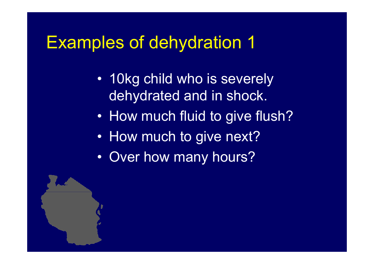#### Examples of dehydration 1

- 10kg child who is severely deh ydrated and in shock.
- $\bullet$ How much fluid to give flush?
- How much to give next?
- •• Over how many hours?

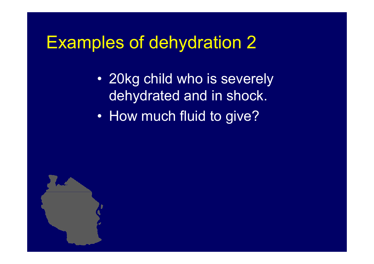#### Examples of dehydration 2

- 20kg child who is severely deh ydrated and in shock.
- $\bullet$ How much fluid to give?

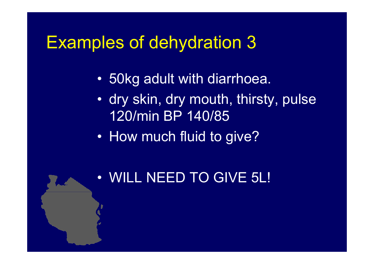#### Examples of dehydration 3

- 50kg adult with diarrhoea.
- dry skin, dry mouth, thirsty, pulse 120/min BP 140/85
- How much fluid to give?
- •WILL NEED TO GIVE 5L!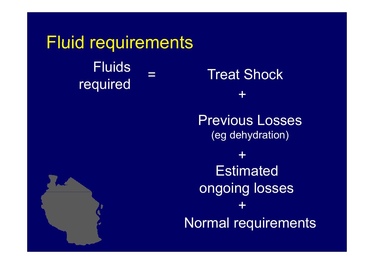**Fluid requirements** Fl uids $\frac{3}{1}$  = Treat Shock Fluids = Treat Shoc<br>required = Treat Shoc =

+ Previous Losses(eg dehydration) +**Estimated** ongoing losses Normal requirements +

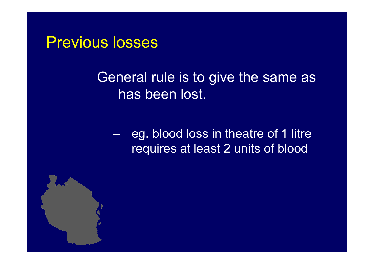#### Previous losses

#### General rule is to give the same as has been lost.

 $\mathcal{L}_{\mathcal{A}}$  , where  $\mathcal{L}_{\mathcal{A}}$  is the set of the set of the set of the set of the set of the set of the set of the set of the set of the set of the set of the set of the set of the set of the set of the set of the  $\,$  eg. blood loss in theatre of 1 litre requires at least 2 units of blood

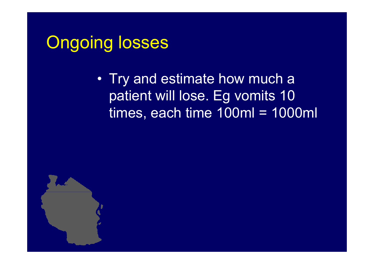#### Ongoing losses

• Try and estimate how much a patient will lose. Eg vomits 10 times, each time 100ml = 1000ml

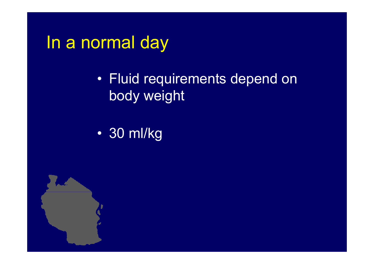#### In a normal day

- Fluid requirements depend on body weight
- •30 ml/kg

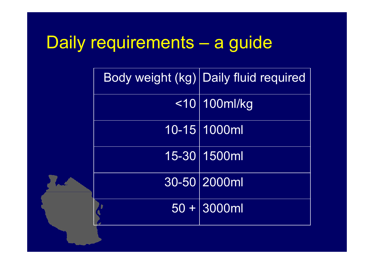#### Daily requirements <sup>a</sup> guide

|  | Body weight (kg) Daily fluid required |
|--|---------------------------------------|
|  | $<$ 10   100 ml/kg                    |
|  | 10-15 1000ml                          |
|  | 15-30 1500ml                          |
|  | 30-50 2000ml                          |
|  | $50 + 3000$ ml                        |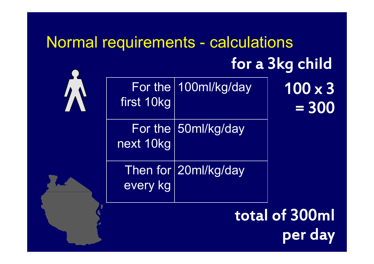## Normal requirements - calculations for a 3k g child g

| first 10kg | For the 100ml/kg/day | 100 x 3<br>$= 300$ |
|------------|----------------------|--------------------|
| next 10kg  | For the 50ml/kg/day  |                    |
| every kg   | Then for 20ml/kg/day |                    |

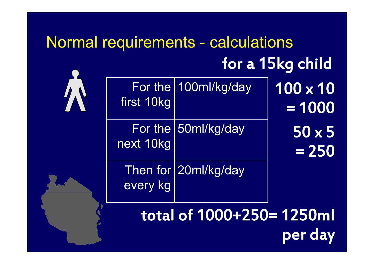## Normal requirements - calculations for a 15k g child g

| first 10kg | For the 100ml/kg/day | $100 \times 10$<br>$= 1000$ |
|------------|----------------------|-----------------------------|
| next 10kg  | For the 50ml/kg/day  | $50 \times 5$<br>$= 250$    |
| every kg   | Then for 20ml/kg/day |                             |

total of 1000+250= 1250ml per day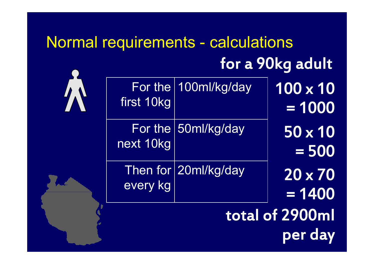## Normal requirements - calculations for a 90k g adult g

| $100 \times 10$<br>$= 1000$ | For the 100ml/kg/day     | first 10kg |  |  |
|-----------------------------|--------------------------|------------|--|--|
| $50 \times 10$<br>$= 500$   | For the $ 50$ ml/kg/day  | next 10kg  |  |  |
| $20 \times 70$<br>$= 1400$  | Then for $ 20$ ml/kg/day | every kg   |  |  |
|                             |                          |            |  |  |

total of 2900ml per day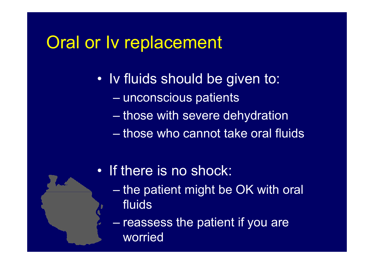#### Oral or Iv replacement

- • Iv fluids should be given to:
	- unconscious patients
	- $\mathcal{L}_{\mathcal{A}}$  , where  $\mathcal{L}_{\mathcal{A}}$  is the set of the set of the set of the set of the set of the set of the set of the set of the set of the set of the set of the set of the set of the set of the set of the set of the those with severe dehydration
	- $-$  those who cannot take oral fluids
- If there is no shock:
	- $\mathcal{L}_{\mathcal{A}}$  , where  $\mathcal{L}_{\mathcal{A}}$  is the set of the set of the set of the set of the set of the set of the set of the set of the set of the set of the set of the set of the set of the set of the set of the set of the – the patient might be OK with oral  $\;$ fluids
	- $-$  reassess the patient if you are worried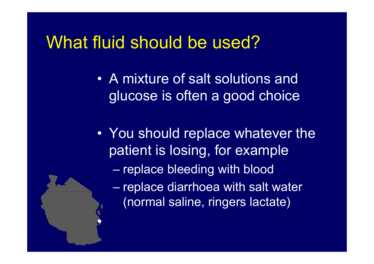#### What fluid should be used?

 $\bullet$ 

- •A mixture of salt solutions and glucose is often a good choice
- You should replace whatever the patient is losing, for example  $\mathcal{L}_{\mathcal{A}}$  , where  $\mathcal{L}_{\mathcal{A}}$  is the set of the set of the set of the set of the set of the set of the set of the set of the set of the set of the set of the set of the set of the set of the set of the set of the replace bleeding with blood – re place diarrhoea with salt water (normal saline, ringers lactate)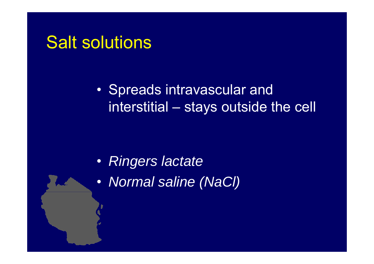#### Salt solutions

• Spreads intravascular and interstitial – stays outside the cell

- *Ringers lactate*
- $\bullet$ *Normal saline (NaCl)*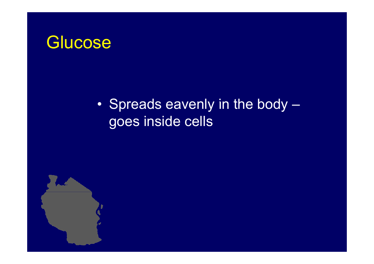#### Glucose

#### •• Spreads eavenly in the body goes inside cells

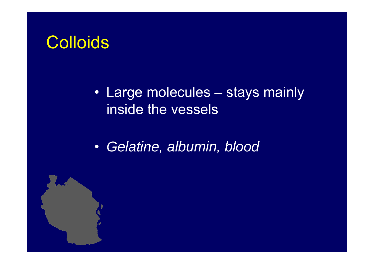#### **Colloids**

#### • Large molecules – stays mainly inside the vessels

•*Gelatine, albumin, blood*

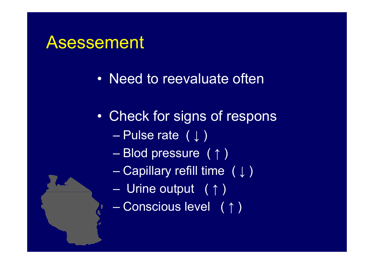#### Asessement

- Need to reevaluate often
- $\bullet$  Check for signs of respons
	- $\mathcal{L}_{\mathcal{A}}$  , where  $\mathcal{L}_{\mathcal{A}}$  is the set of the set of the set of the set of the set of the set of the set of the set of the set of the set of the set of the set of the set of the set of the set of the set of the – Pulse rate  $~(\downarrow)$
	- Blod pressure ( ↑ )
	- Capillary refill time ( ↓ )
	- –Urine output ( ↑ )
	- $\mathcal{L}_{\mathcal{A}}$  , where  $\mathcal{L}_{\mathcal{A}}$  is the set of the set of the set of the set of the set of the set of the set of the set of the set of the set of the set of the set of the set of the set of the set of the set of the Conscious level ( ↑ )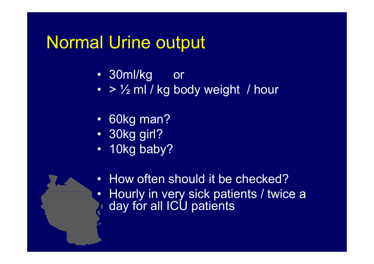#### Normal Urine output

- 30ml/kg o r
- $\bullet \ > \ \frac{1}{2}$  ml / kg body weight / hour
- 60kg man?
- 30kg girl?
- 10kg baby?
- $\bullet$  How often should it be checked? • Hourly in very sick patients / twice <sup>a</sup> day for all ICU patients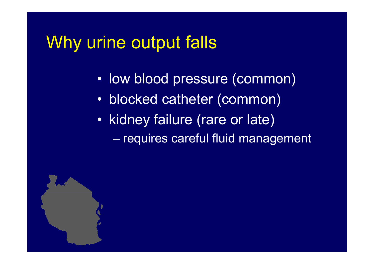#### Why urine output falls

- •low blood pressure (common)
- •blocked catheter (common)
- • kidney failure (rare or late)  $\mathcal{L}_{\mathcal{A}}$ – requires careful fluid management

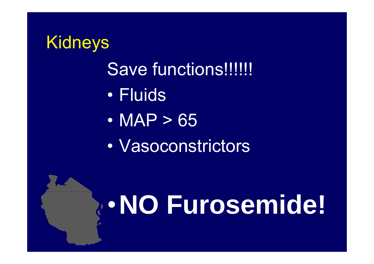#### Kidneys Save functions!!!!!!!  $\bullet$  Fluids $\bullet$  MAP > 65 $\bullet$ Vasoconstrictors

## •**NO Furosemide!**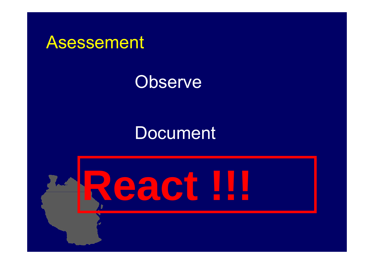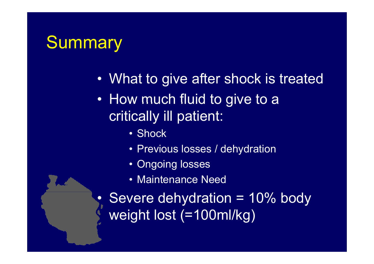#### Summary

- •What to give after shock is treated
- •• How much fluid to give to a critically ill patient:
	- Shock
	- Previous losses / dehydration
	- Ongoing losses
	- Maintenance Need

• Severe dehydration = 10% body weight lost  $(=100$ ml/kg)